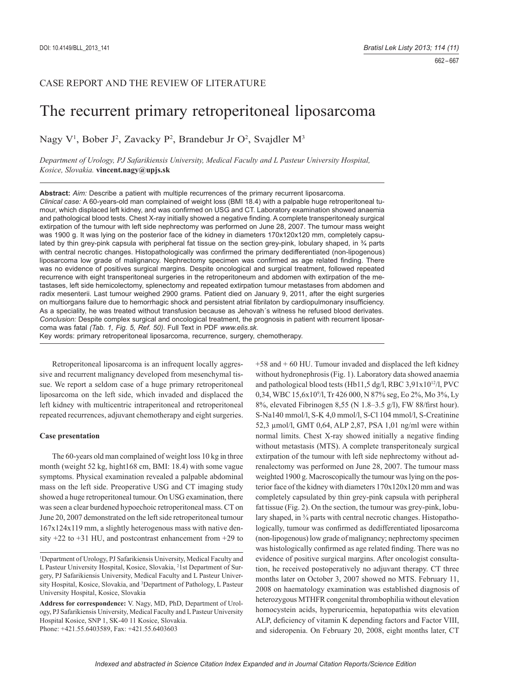662 – 667

# CASE REPORT AND THE REVIEW OF LITERATURE

# The recurrent primary retroperitoneal liposarcoma

Nagy V<sup>1</sup>, Bober J<sup>2</sup>, Zavacky P<sup>2</sup>, Brandebur Jr O<sup>2</sup>, Svajdler M<sup>3</sup>

*Department of Urology, PJ Safarikiensis University, Medical Faculty and L Pasteur University Hospital, Kosice, Slovakia.* **vincent.nagy@upjs.sk**

**Abstract:** *Aim:* Describe a patient with multiple recurrences of the primary recurrent liposarcoma. *Clinical case:* A 60-years-old man complained of weight loss (BMI 18.4) with a palpable huge retroperitoneal tumour, which displaced left kidney, and was confirmed on USG and CT. Laboratory examination showed anaemia and pathological blood tests. Chest X-ray initially showed a negative finding. A complete transperitonealy surgical extirpation of the tumour with left side nephrectomy was performed on June 28, 2007. The tumour mass weight was 1900 g. It was lying on the posterior face of the kidney in diameters 170x120x120 mm, completely capsulated by thin grey-pink capsula with peripheral fat tissue on the section grey-pink, lobulary shaped, in % parts with central necrotic changes. Histopathologically was confirmed the primary dedifferentiated (non-lipogenous) liposarcoma low grade of malignancy. Nephrectomy specimen was confirmed as age related finding. There was no evidence of positives surgical margins. Despite oncological and surgical treatment, followed repeated recurrence with eight transperitoneal surgeries in the retroperitoneum and abdomen with extirpation of the metastases, left side hemicolectomy, splenectomy and repeated extirpation tumour metastases from abdomen and radix mesenterii. Last tumour weighed 2900 grams. Patient died on January 9, 2011, after the eight surgeries on multiorgans failure due to hemorrhagic shock and persistent atrial fibrilaton by cardiopulmonary insufficiency. As a speciality, he was treated without transfusion because as Jehovah´s witness he refused blood derivates. *Conclusion:* Despite complex surgical and oncological treatment, the prognosis in patient with recurrent liposarcoma was fatal *(Tab. 1, Fig. 5, Ref. 50)*. Full Text in PDF *www.elis.sk.*

Key words: primary retroperitoneal liposarcoma, recurrence, surgery, chemotherapy.

Retroperitoneal liposarcoma is an infrequent locally aggressive and recurrent malignancy developed from mesenchymal tissue. We report a seldom case of a huge primary retroperitoneal liposarcoma on the left side, which invaded and displaced the left kidney with multicentric intraperitoneal and retroperitoneal repeated recurrences, adjuvant chemotherapy and eight surgeries.

# **Case presentation**

The 60-years old man complained of weight loss 10 kg in three month (weight 52 kg, hight168 cm, BMI: 18.4) with some vague symptoms. Physical examination revealed a palpable abdominal mass on the left side. Preoperative USG and CT imaging study showed a huge retroperitoneal tumour. On USG examination, there was seen a clear burdened hypoechoic retroperitoneal mass. CT on June 20, 2007 demonstrated on the left side retroperitoneal tumour 167x124x119 mm, a slightly heterogenous mass with native density +22 to +31 HU, and postcontrast enhancement from +29 to

+58 and + 60 HU. Tumour invaded and displaced the left kidney without hydronephrosis (Fig. 1). Laboratory data showed anaemia and pathological blood tests (Hb11,5 dg/l, RBC 3,91x10<sup>12</sup>/l, PVC 0,34, WBC 15,6x10<sup>9</sup>/l, Tr 426 000, N 87% seg, Eo 2%, Mo 3%, Ly 8%, elevated Fibrinogen 8,55 (N 1.8–3.5 g/l), FW 88/first hour). S-Na140 mmol/l, S-K 4,0 mmol/l, S-Cl 104 mmol/l, S-Creatinine 52,3 μmol/l, GMT 0,64, ALP 2,87, PSA 1,01 ng/ml were within normal limits. Chest X-ray showed initially a negative finding without metastasis (MTS). A complete transperitonealy surgical extirpation of the tumour with left side nephrectomy without adrenalectomy was performed on June 28, 2007. The tumour mass weighted 1900 g. Macroscopically the tumour was lying on the posterior face of the kidney with diameters 170x120x120 mm and was completely capsulated by thin grey-pink capsula with peripheral fat tissue (Fig. 2). On the section, the tumour was grey-pink, lobulary shaped, in  $\frac{3}{4}$  parts with central necrotic changes. Histopathologically, tumour was confirmed as dedifferentiated liposarcoma (non-lipogenous) low grade of malignancy; nephrectomy specimen was histologically confirmed as age related finding. There was no evidence of positive surgical margins. After oncologist consultation, he received postoperatively no adjuvant therapy. CT three months later on October 3, 2007 showed no MTS. February 11, 2008 on haematology examination was established diagnosis of heterozygous MTHFR congenital thrombophilia without elevation homocystein acids, hyperuricemia, hepatopathia wits elevation ALP, deficiency of vitamin K depending factors and Factor VIII, and sideropenia. On February 20, 2008, eight months later, CT

<sup>1</sup> Department of Urology, PJ Safarikiensis University, Medical Faculty and L Pasteur University Hospital, Kosice, Slovakia, <sup>2</sup>1st Department of Surgery, PJ Safarikiensis University, Medical Faculty and L Pasteur University Hospital, Kosice, Slovakia, and <sup>3</sup>Department of Pathology, L Pasteur University Hospital, Kosice, Slovakia

**Address for correspondence:** V. Nagy, MD, PhD, Department of Urology, PJ Safarikiensis University, Medical Faculty and L Pasteur University Hospital Kosice, SNP 1, SK-40 11 Kosice, Slovakia. Phone: +421.55.6403589, Fax: +421.55.6403603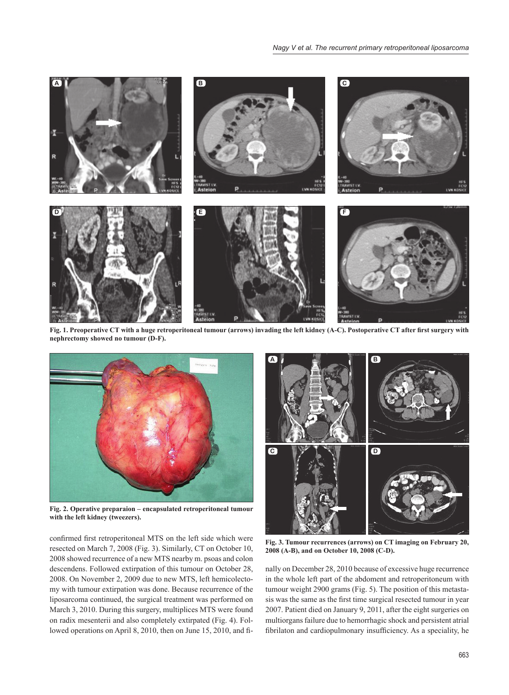

Fig. 1. Preoperative CT with a huge retroperitoneal tumour (arrows) invading the left kidney (A-C). Postoperative CT after first surgery with **nephrectomy showed no tumour (D-F).**



**Fig. 2. Operative preparaion – encapsulated retroperitoneal tumour with the left kidney (tweezers).**

confirmed first retroperitoneal MTS on the left side which were resected on March 7, 2008 (Fig. 3). Similarly, CT on October 10, 2008 showed recurrence of a new MTS nearby m. psoas and colon descendens. Followed extirpation of this tumour on October 28, 2008. On November 2, 2009 due to new MTS, left hemicolectomy with tumour extirpation was done. Because recurrence of the liposarcoma continued, the surgical treatment was performed on March 3, 2010. During this surgery, multiplices MTS were found on radix mesenterii and also completely extirpated (Fig. 4). Followed operations on April 8, 2010, then on June 15, 2010, and fi-



**Fig. 3. Tumour recurrences (arrows) on CT imaging on February 20, 2008 (A-B), and on October 10, 2008 (C-D).**

nally on December 28, 2010 because of excessive huge recurrence in the whole left part of the abdoment and retroperitoneum with tumour weight 2900 grams (Fig. 5). The position of this metastasis was the same as the first time surgical resected tumour in year 2007. Patient died on January 9, 2011, after the eight surgeries on multiorgans failure due to hemorrhagic shock and persistent atrial fibrilaton and cardiopulmonary insufficiency. As a speciality, he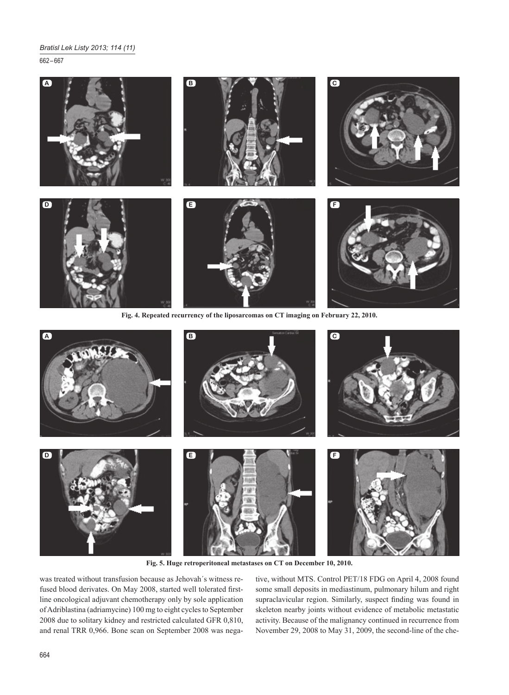662 – 667





**Fig. 5. Huge retroperitoneal metastases on CT on December 10, 2010.**

was treated without transfusion because as Jehovah´s witness refused blood derivates. On May 2008, started well tolerated firstline oncological adjuvant chemotherapy only by sole application of Adriblastina (adriamycine) 100 mg to eight cycles to September 2008 due to solitary kidney and restricted calculated GFR 0,810, and renal TRR 0,966. Bone scan on September 2008 was nega-

tive, without MTS. Control PET/18 FDG on April 4, 2008 found some small deposits in mediastinum, pulmonary hilum and right supraclavicular region. Similarly, suspect finding was found in skeleton nearby joints without evidence of metabolic metastatic activity. Because of the malignancy continued in recurrence from November 29, 2008 to May 31, 2009, the second-line of the che-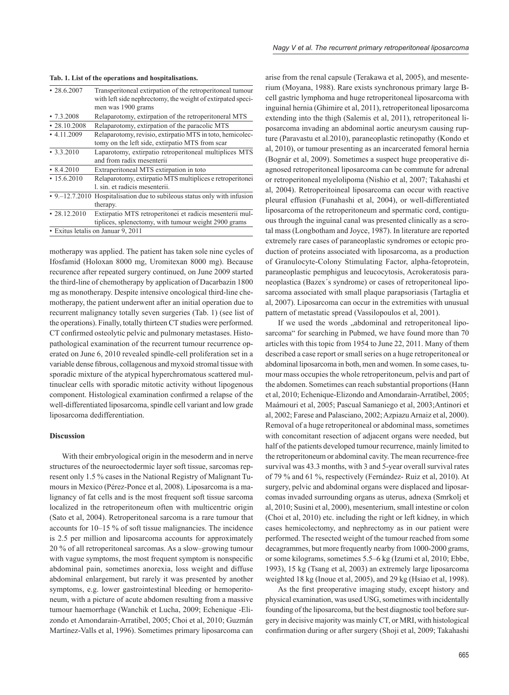#### **Tab. 1. List of the operations and hospitalisations.**

| $\cdot$ 28.6.2007  | Transperitoneal extirpation of the retroperitoneal tumour                  |
|--------------------|----------------------------------------------------------------------------|
|                    | with left side nephrectomy, the weight of extirpated speci-                |
|                    | men was 1900 grams                                                         |
| $\cdot 7.3.2008$   | Relaparotomy, extirpation of the retroperitoneral MTS                      |
| $\cdot$ 28.10.2008 | Relaparotomy, extirpation of the paracolic MTS                             |
| $\cdot$ 4.11.2009  | Relaparotomy, revisio, extirpatio MTS in toto, hemicolec-                  |
|                    | tomy on the left side, extirpatio MTS from scar                            |
| $\cdot$ 3.3.2010   | Laparotomy, extirpatio retroperitoneal multiplices MTS                     |
|                    | and from radix mesenterii                                                  |
| $\cdot$ 8.4.2010   | Extraperitoneal MTS extirpation in toto                                    |
| $\cdot$ 15.6.2010  | Relaparotomy, extirpatio MTS multiplices e retroperitonei                  |
|                    | l. sin. et radicis mesenterii.                                             |
|                    | • 9. -12.7.2010 Hospitalisation due to subileous status only with infusion |
|                    | therapy.                                                                   |
| $\cdot$ 28.12.2010 | Extirpatio MTS retroperitonei et radicis mesenterii mul-                   |
|                    | tiplices, splenectomy, with tumour weight 2900 grams                       |
|                    | • Exitus letalis on Januar 9, 2011                                         |

motherapy was applied. The patient has taken sole nine cycles of Ifosfamid (Holoxan 8000 mg, Uromitexan 8000 mg). Because recurence after repeated surgery continued, on June 2009 started the third-line of chemotherapy by application of Dacarbazin 1800 mg as monotherapy. Despite intensive oncological third-line chemotherapy, the patient underwent after an initial operation due to recurrent malignancy totally seven surgeries (Tab. 1) (see list of the operations). Finally, totally thirteen CT studies were performed. CT confirmed osteolytic pelvic and pulmonary metastases. Histopathological examination of the recurrent tumour recurrence operated on June 6, 2010 revealed spindle-cell proliferation set in a variable dense fibrous, collagenous and myxoid stromal tissue with sporadic mixture of the atypical hyperchromatous scattered multinuclear cells with sporadic mitotic activity without lipogenous component. Histological examination confirmed a relapse of the well-differentiated liposarcoma, spindle cell variant and low grade liposarcoma dedifferentiation.

#### **Discussion**

With their embryological origin in the mesoderm and in nerve structures of the neuroectodermic layer soft tissue, sarcomas represent only 1.5 % cases in the National Registry of Malignant Tumours in Mexico (Pérez-Ponce et al, 2008). Liposarcoma is a malignancy of fat cells and is the most frequent soft tissue sarcoma localized in the retroperitoneum often with multicentric origin (Sato et al, 2004). Retroperitoneal sarcoma is a rare tumour that accounts for 10–15 % of soft tissue malignancies. The incidence is 2.5 per million and liposarcoma accounts for approximately 20 % of all retroperitoneal sarcomas. As a slow–growing tumour with vague symptoms, the most frequent symptom is nonspecific abdominal pain, sometimes anorexia, loss weight and diffuse abdominal enlargement, but rarely it was presented by another symptoms, e.g. lower gastrointestinal bleeding or hemoperitoneum, with a picture of acute abdomen resulting from a massive tumour haemorrhage (Wanchik et Lucha, 2009; Echenique -Elizondo et Amondarain-Arratibel, 2005; Choi et al, 2010; Guzmán Martínez-Valls et al, 1996). Sometimes primary liposarcoma can

arise from the renal capsule (Terakawa et al, 2005), and mesenterium (Moyana, 1988). Rare exists synchronous primary large Bcell gastric lymphoma and huge retroperitoneal liposarcoma with inguinal hernia (Ghimire et al, 2011), retroperitoneal liposarcoma extending into the thigh (Salemis et al, 2011), retroperitoneal liposarcoma invading an abdominal aortic aneurysm causing rupture (Paravastu et al.2010), paraneoplastic retinopathy (Kondo et al, 2010), or tumour presenting as an incarcerated femoral hernia (Bognár et al, 2009). Sometimes a suspect huge preoperative diagnosed retroperitoneal liposarcoma can be commute for adrenal or retroperitoneal myelolipoma (Nishio et al, 2007; Takahashi et al, 2004). Retroperitoineal liposarcoma can occur with reactive pleural effusion (Funahashi et al, 2004), or well-differentiated liposarcoma of the retroperitoneum and spermatic cord, contiguous through the inguinal canal was presented clinically as a scrotal mass (Longbotham and Joyce, 1987). In literature are reported extremely rare cases of paraneoplastic syndromes or ectopic production of proteins associated with liposarcoma, as a production of Granulocyte-Colony Stimulating Factor, alpha-fetoprotein, paraneoplastic pemphigus and leucocytosis, Acrokeratosis paraneoplastica (Bazex´s syndrome) or cases of retroperitoneal liposarcoma associated with small plaque parapsoriasis (Tartaglia et al, 2007). Liposarcoma can occur in the extremities with unusual pattern of metastatic spread (Vassilopoulos et al, 2001).

If we used the words "abdominal and retroperitoneal liposarcoma" for searching in Pubmed, we have found more than 70 articles with this topic from 1954 to June 22, 2011. Many of them described a case report or small series on a huge retroperitoneal or abdominal liposarcoma in both, men and women. In some cases, tumour mass occupies the whole retroperitoneum, pelvis and part of the abdomen. Sometimes can reach substantial proportions (Hann et al, 2010; Echenique-Elizondo and Amondarain-Arratíbel, 2005; Maámouri et al, 2005; Pascual Samaniego et al, 2003;Antinori et al, 2002; Farese and Palasciano, 2002; Azpiazu Arnaiz et al, 2000). Removal of a huge retroperitoneal or abdominal mass, sometimes with concomitant resection of adjacent organs were needed, but half of the patients developed tumour recurrence, mainly limited to the retroperitoneum or abdominal cavity. The mean recurrence-free survival was 43.3 months, with 3 and 5-year overall survival rates of 79 % and 61 %, respectively (Fernández- Ruiz et al, 2010). At surgery, pelvic and abdominal organs were displaced and liposarcomas invaded surrounding organs as uterus, adnexa (Smrkolj et al, 2010; Susini et al, 2000), mesenterium, small intestine or colon (Choi et al, 2010) etc. including the right or left kidney, in which cases hemicolectomy, and nephrectomy as in our patient were performed. The resected weight of the tumour reached from some decagrammes, but more frequently nearby from 1000-2000 grams, or some kilograms, sometimes 5.5–6 kg (Izumi et al, 2010; Ebbe, 1993), 15 kg (Tsang et al, 2003) an extremely large liposarcoma weighted 18 kg (Inoue et al, 2005), and 29 kg (Hsiao et al, 1998).

As the first preoperative imaging study, except history and physical examination, was used USG, sometimes with incidentally founding of the liposarcoma, but the best diagnostic tool before surgery in decisive majority was mainly CT, or MRI, with histological confirmation during or after surgery (Shoji et al, 2009; Takahashi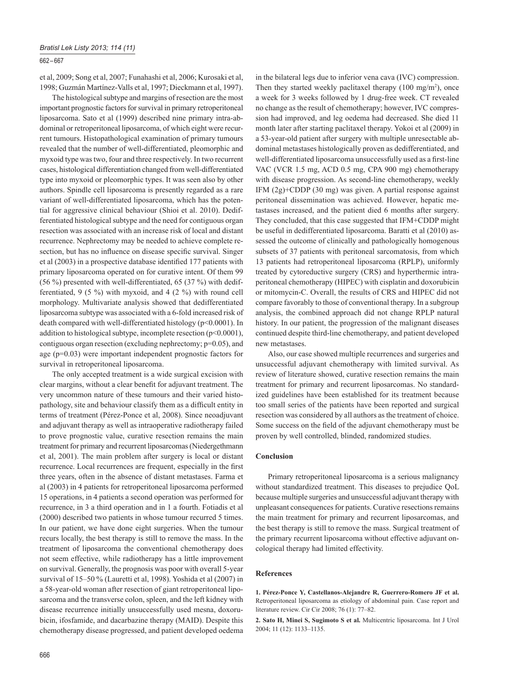# 662 – 667

et al, 2009; Song et al, 2007; Funahashi et al, 2006; Kurosaki et al, 1998; Guzmán Martínez-Valls et al, 1997; Dieckmann et al, 1997).

The histological subtype and margins of resection are the most important prognostic factors for survival in primary retroperitoneal liposarcoma. Sato et al (1999) described nine primary intra-abdominal or retroperitoneal liposarcoma, of which eight were recurrent tumours. Histopathological examination of primary tumours revealed that the number of well-differentiated, pleomorphic and myxoid type was two, four and three respectively. In two recurrent cases, histological differentiation changed from well-differentiated type into myxoid or pleomorphic types. It was seen also by other authors. Spindle cell liposarcoma is presently regarded as a rare variant of well-differentiated liposarcoma, which has the potential for aggressive clinical behaviour (Shioi et al. 2010). Dedifferentiated histological subtype and the need for contiguous organ resection was associated with an increase risk of local and distant recurrence. Nephrectomy may be needed to achieve complete resection, but has no influence on disease specific survival. Singer et al  $(2003)$  in a prospective database identified 177 patients with primary liposarcoma operated on for curative intent. Of them 99 (56 %) presented with well-differentiated, 65 (37 %) with dedifferentiated, 9 (5 %) with myxoid, and 4 (2 %) with round cell morphology. Multivariate analysis showed that dedifferentiated liposarcoma subtype was associated with a 6-fold increased risk of death compared with well-differentiated histology (p<0.0001). In addition to histological subtype, incomplete resection  $(p<0.0001)$ , contiguous organ resection (excluding nephrectomy; p=0.05), and age (p=0.03) were important independent prognostic factors for survival in retroperitoneal liposarcoma.

The only accepted treatment is a wide surgical excision with clear margins, without a clear benefit for adjuvant treatment. The very uncommon nature of these tumours and their varied histopathology, site and behaviour classify them as a difficult entity in terms of treatment (Pérez-Ponce et al, 2008). Since neoadjuvant and adjuvant therapy as well as intraoperative radiotherapy failed to prove prognostic value, curative resection remains the main treatment for primary and recurrent liposarcomas (Niedergethmann et al, 2001). The main problem after surgery is local or distant recurrence. Local recurrences are frequent, especially in the first three years, often in the absence of distant metastases. Farma et al (2003) in 4 patients for retroperitoneal liposarcoma performed 15 operations, in 4 patients a second operation was performed for recurrence, in 3 a third operation and in 1 a fourth. Fotiadis et al (2000) described two patients in whose tumour recurred 5 times. In our patient, we have done eight surgeries. When the tumour recurs locally, the best therapy is still to remove the mass. In the treatment of liposarcoma the conventional chemotherapy does not seem effective, while radiotherapy has a little improvement on survival. Generally, the prognosis was poor with overall 5-year survival of 15–50 % (Lauretti et al, 1998). Yoshida et al (2007) in a 58-year-old woman after resection of giant retroperitoneal liposarcoma and the transverse colon, spleen, and the left kidney with disease recurrence initially unsuccessfully used mesna, doxorubicin, ifosfamide, and dacarbazine therapy (MAID). Despite this chemotherapy disease progressed, and patient developed oedema

in the bilateral legs due to inferior vena cava (IVC) compression. Then they started weekly paclitaxel therapy  $(100 \text{ mg/m}^2)$ , once a week for 3 weeks followed by 1 drug-free week. CT revealed no change as the result of chemotherapy; however, IVC compression had improved, and leg oedema had decreased. She died 11 month later after starting paclitaxel therapy. Yokoi et al (2009) in a 53-year-old patient after surgery with multiple unresectable abdominal metastases histologically proven as dedifferentiated, and well-differentiated liposarcoma unsuccessfully used as a first-line VAC (VCR 1.5 mg, ACD 0.5 mg, CPA 900 mg) chemotherapy with disease progression. As second-line chemotherapy, weekly IFM (2g)+CDDP (30 mg) was given. A partial response against peritoneal dissemination was achieved. However, hepatic metastases increased, and the patient died 6 months after surgery. They concluded, that this case suggested that IFM+CDDP might be useful in dedifferentiated liposarcoma. Baratti et al (2010) assessed the outcome of clinically and pathologically homogenous subsets of 37 patients with peritoneal sarcomatosis, from which 13 patients had retroperitoneal liposarcoma (RPLP), uniformly treated by cytoreductive surgery (CRS) and hyperthermic intraperitoneal chemotherapy (HIPEC) with cisplatin and doxorubicin or mitomycin-C. Overall, the results of CRS and HIPEC did not compare favorably to those of conventional therapy. In a subgroup analysis, the combined approach did not change RPLP natural history. In our patient, the progression of the malignant diseases continued despite third-line chemotherapy, and patient developed new metastases.

Also, our case showed multiple recurrences and surgeries and unsuccessful adjuvant chemotherapy with limited survival. As review of literature showed, curative resection remains the main treatment for primary and recurrent liposarcomas. No standardized guidelines have been established for its treatment because too small series of the patients have been reported and surgical resection was considered by all authors as the treatment of choice. Some success on the field of the adjuvant chemotherapy must be proven by well controlled, blinded, randomized studies.

### **Conclusion**

Primary retroperitoneal liposarcoma is a serious malignancy without standardized treatment. This diseases to prejudice QoL because multiple surgeries and unsuccessful adjuvant therapy with unpleasant consequences for patients. Curative resections remains the main treatment for primary and recurrent liposarcomas, and the best therapy is still to remove the mass. Surgical treatment of the primary recurrent liposarcoma without effective adjuvant oncological therapy had limited effectivity.

#### **References**

**1. Pérez-Ponce Y, Castellanos-Alejandre R, Guerrero-Romero JF et al.** Retroperitoneal liposarcoma as etiology of abdominal pain. Case report and literature review. Cir Cir 2008; 76 (1): 77–82.

**2. Sato H, Minei S, Sugimoto S et al.** Multicentric liposarcoma. Int J Urol 2004; 11 (12): 1133–1135.